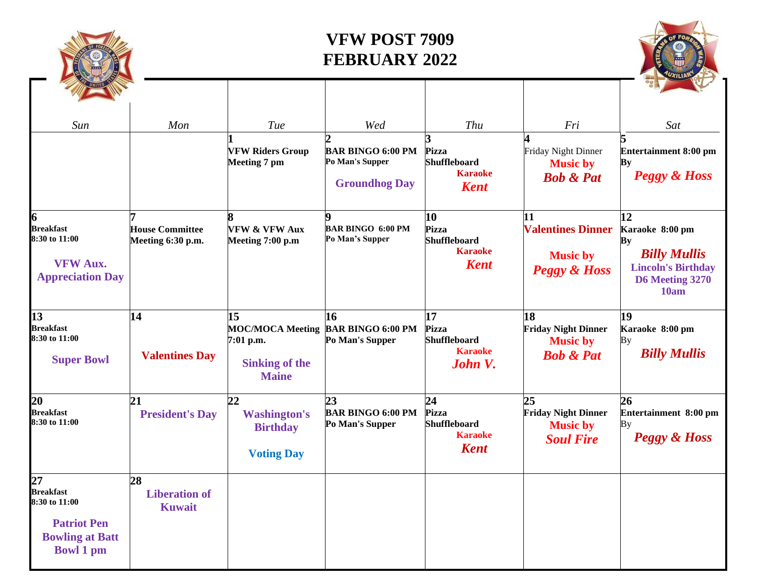

## **VFW POST 7909 FEBRUARY 2022**

| Sun                                                                                                         | Mon                                         | Tue<br><b>VFW Riders Group</b><br>Meeting 7 pm                                      | Wed<br><b>BAR BINGO 6:00 PM</b><br>Po Man's Supper<br><b>Groundhog Day</b> | <b>Thu</b><br>Pizza<br><b>Shuffleboard</b><br><b>Karaoke</b><br><b>Kent</b> | Fri<br>Friday Night Dinner<br><b>Music by</b><br><b>Bob &amp; Pat</b>        | Sat<br>Entertainment 8:00 pm<br>Ву<br><b>Peggy &amp; Hoss</b>                                              |
|-------------------------------------------------------------------------------------------------------------|---------------------------------------------|-------------------------------------------------------------------------------------|----------------------------------------------------------------------------|-----------------------------------------------------------------------------|------------------------------------------------------------------------------|------------------------------------------------------------------------------------------------------------|
| <b>Breakfast</b><br>8:30 to 11:00<br><b>VFW Aux.</b><br><b>Appreciation Day</b>                             | <b>House Committee</b><br>Meeting 6:30 p.m. | <b>VFW &amp; VFW Aux</b><br>Meeting 7:00 p.m                                        | <b>BAR BINGO 6:00 PM</b><br>Po Man's Supper                                | 10<br><b>Pizza</b><br><b>Shuffleboard</b><br><b>Karaoke</b><br><b>Kent</b>  | 11<br><b>Valentines Dinner</b><br><b>Music by</b><br><b>Peggy &amp; Hoss</b> | 12<br>Karaoke 8:00 pm<br>Bу<br><b>Billy Mullis</b><br><b>Lincoln's Birthday</b><br>D6 Meeting 3270<br>10am |
| 13<br><b>Breakfast</b><br>8:30 to 11:00<br><b>Super Bowl</b>                                                | 14<br><b>Valentines Day</b>                 | 15<br><b>MOC/MOCA Meeting</b><br>7:01 p.m.<br><b>Sinking of the</b><br><b>Maine</b> | 16<br><b>BAR BINGO 6:00 PM</b><br>Po Man's Supper                          | 17<br>Pizza<br><b>Shuffleboard</b><br><b>Karaoke</b><br>John V.             | 18<br><b>Friday Night Dinner</b><br><b>Music by</b><br><b>Bob &amp; Pat</b>  | 19<br>Karaoke 8:00 pm<br>Bу<br><b>Billy Mullis</b>                                                         |
| 20<br><b>Breakfast</b><br>8:30 to 11:00                                                                     | 21<br><b>President's Day</b>                | 22<br><b>Washington's</b><br><b>Birthday</b><br><b>Voting Day</b>                   | 23<br><b>BAR BINGO 6:00 PM</b><br>Po Man's Supper                          | 24<br>Pizza<br><b>Shuffleboard</b><br><b>Karaoke</b><br><b>Kent</b>         | 25<br><b>Friday Night Dinner</b><br><b>Music by</b><br><b>Soul Fire</b>      | 26<br>Entertainment 8:00 pm<br>By<br>Peggy & Hoss                                                          |
| 27<br><b>Breakfast</b><br>8:30 to 11:00<br><b>Patriot Pen</b><br><b>Bowling at Batt</b><br><b>Bowl 1 pm</b> | 28<br><b>Liberation of</b><br><b>Kuwait</b> |                                                                                     |                                                                            |                                                                             |                                                                              |                                                                                                            |